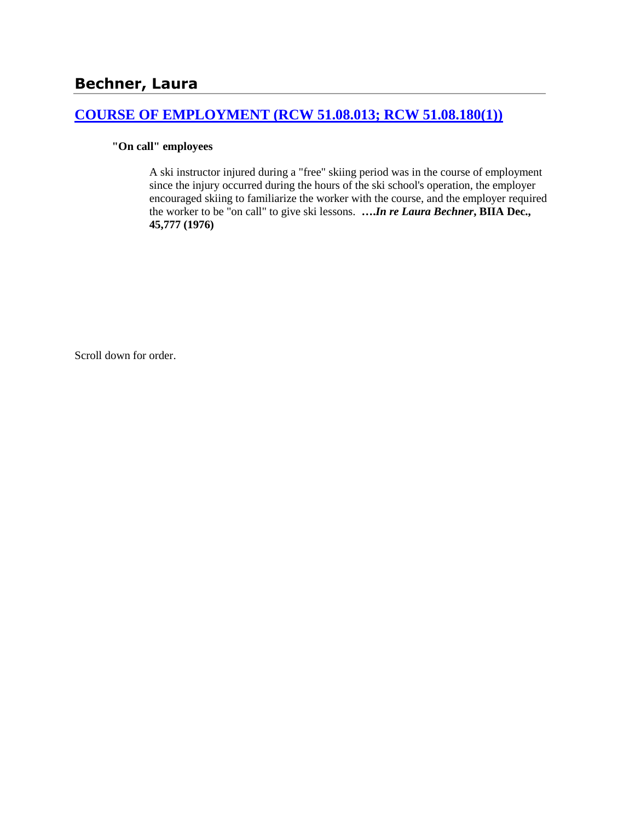## **[COURSE OF EMPLOYMENT \(RCW 51.08.013; RCW 51.08.180\(1\)\)](http://www.biia.wa.gov/SDSubjectIndex.html#COURSE_OF_EMPLOYMENT)**

# **"On call" employees**

A ski instructor injured during a "free" skiing period was in the course of employment since the injury occurred during the hours of the ski school's operation, the employer encouraged skiing to familiarize the worker with the course, and the employer required the worker to be "on call" to give ski lessons. **….***In re Laura Bechner***, BIIA Dec., 45,777 (1976)** 

Scroll down for order.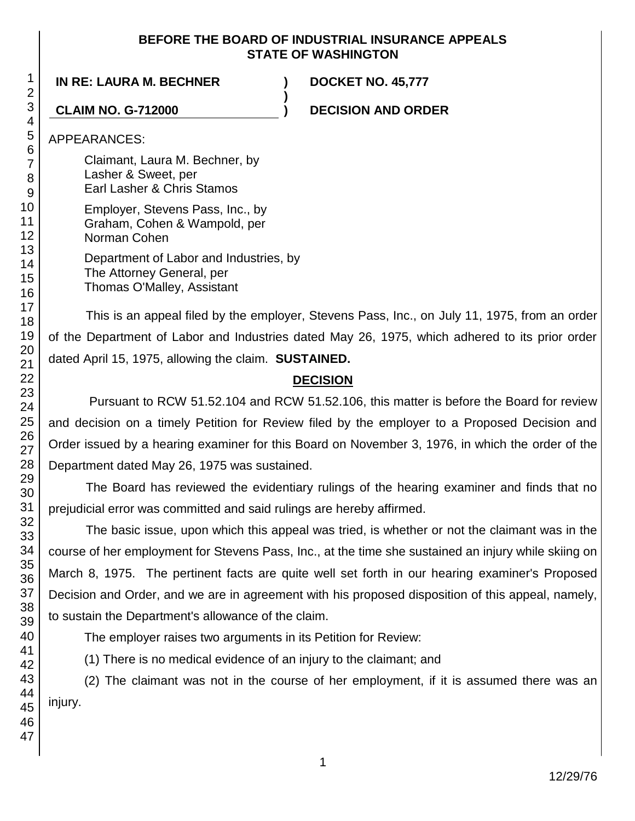### **BEFORE THE BOARD OF INDUSTRIAL INSURANCE APPEALS STATE OF WASHINGTON**

**)**

### **IN RE: LAURA M. BECHNER ) DOCKET NO. 45,777**

**CLAIM NO. G-712000 ) DECISION AND ORDER**

APPEARANCES:

Claimant, Laura M. Bechner, by Lasher & Sweet, per Earl Lasher & Chris Stamos

Employer, Stevens Pass, Inc., by Graham, Cohen & Wampold, per Norman Cohen

> Department of Labor and Industries, by The Attorney General, per Thomas O'Malley, Assistant

This is an appeal filed by the employer, Stevens Pass, Inc., on July 11, 1975, from an order of the Department of Labor and Industries dated May 26, 1975, which adhered to its prior order dated April 15, 1975, allowing the claim. **SUSTAINED.**

# **DECISION**

Pursuant to RCW 51.52.104 and RCW 51.52.106, this matter is before the Board for review and decision on a timely Petition for Review filed by the employer to a Proposed Decision and Order issued by a hearing examiner for this Board on November 3, 1976, in which the order of the Department dated May 26, 1975 was sustained.

The Board has reviewed the evidentiary rulings of the hearing examiner and finds that no prejudicial error was committed and said rulings are hereby affirmed.

The basic issue, upon which this appeal was tried, is whether or not the claimant was in the course of her employment for Stevens Pass, Inc., at the time she sustained an injury while skiing on March 8, 1975. The pertinent facts are quite well set forth in our hearing examiner's Proposed Decision and Order, and we are in agreement with his proposed disposition of this appeal, namely, to sustain the Department's allowance of the claim.

The employer raises two arguments in its Petition for Review:

(1) There is no medical evidence of an injury to the claimant; and

(2) The claimant was not in the course of her employment, if it is assumed there was an injury.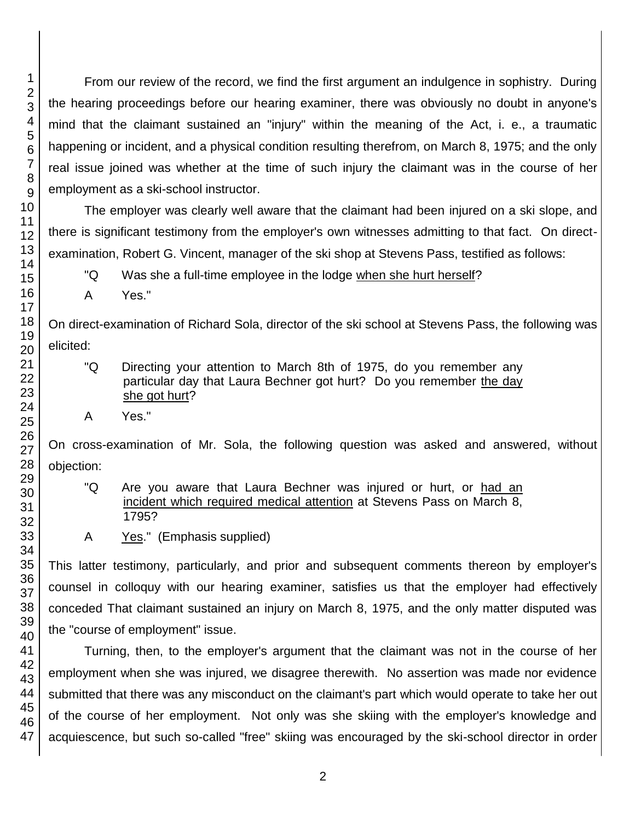From our review of the record, we find the first argument an indulgence in sophistry. During the hearing proceedings before our hearing examiner, there was obviously no doubt in anyone's mind that the claimant sustained an "injury" within the meaning of the Act, i. e., a traumatic happening or incident, and a physical condition resulting therefrom, on March 8, 1975; and the only real issue joined was whether at the time of such injury the claimant was in the course of her employment as a ski-school instructor.

The employer was clearly well aware that the claimant had been injured on a ski slope, and there is significant testimony from the employer's own witnesses admitting to that fact. On directexamination, Robert G. Vincent, manager of the ski shop at Stevens Pass, testified as follows:

"Q Was she a full-time employee in the lodge when she hurt herself?

A Yes."

On direct-examination of Richard Sola, director of the ski school at Stevens Pass, the following was elicited:

- "Q Directing your attention to March 8th of 1975, do you remember any particular day that Laura Bechner got hurt? Do you remember the day she got hurt?
- A Yes."

On cross-examination of Mr. Sola, the following question was asked and answered, without objection:

- "Q Are you aware that Laura Bechner was injured or hurt, or had an incident which required medical attention at Stevens Pass on March 8, 1795?
- A Yes." (Emphasis supplied)

This latter testimony, particularly, and prior and subsequent comments thereon by employer's counsel in colloquy with our hearing examiner, satisfies us that the employer had effectively conceded That claimant sustained an injury on March 8, 1975, and the only matter disputed was the "course of employment" issue.

Turning, then, to the employer's argument that the claimant was not in the course of her employment when she was injured, we disagree therewith. No assertion was made nor evidence submitted that there was any misconduct on the claimant's part which would operate to take her out of the course of her employment. Not only was she skiing with the employer's knowledge and acquiescence, but such so-called "free" skiing was encouraged by the ski-school director in order

1